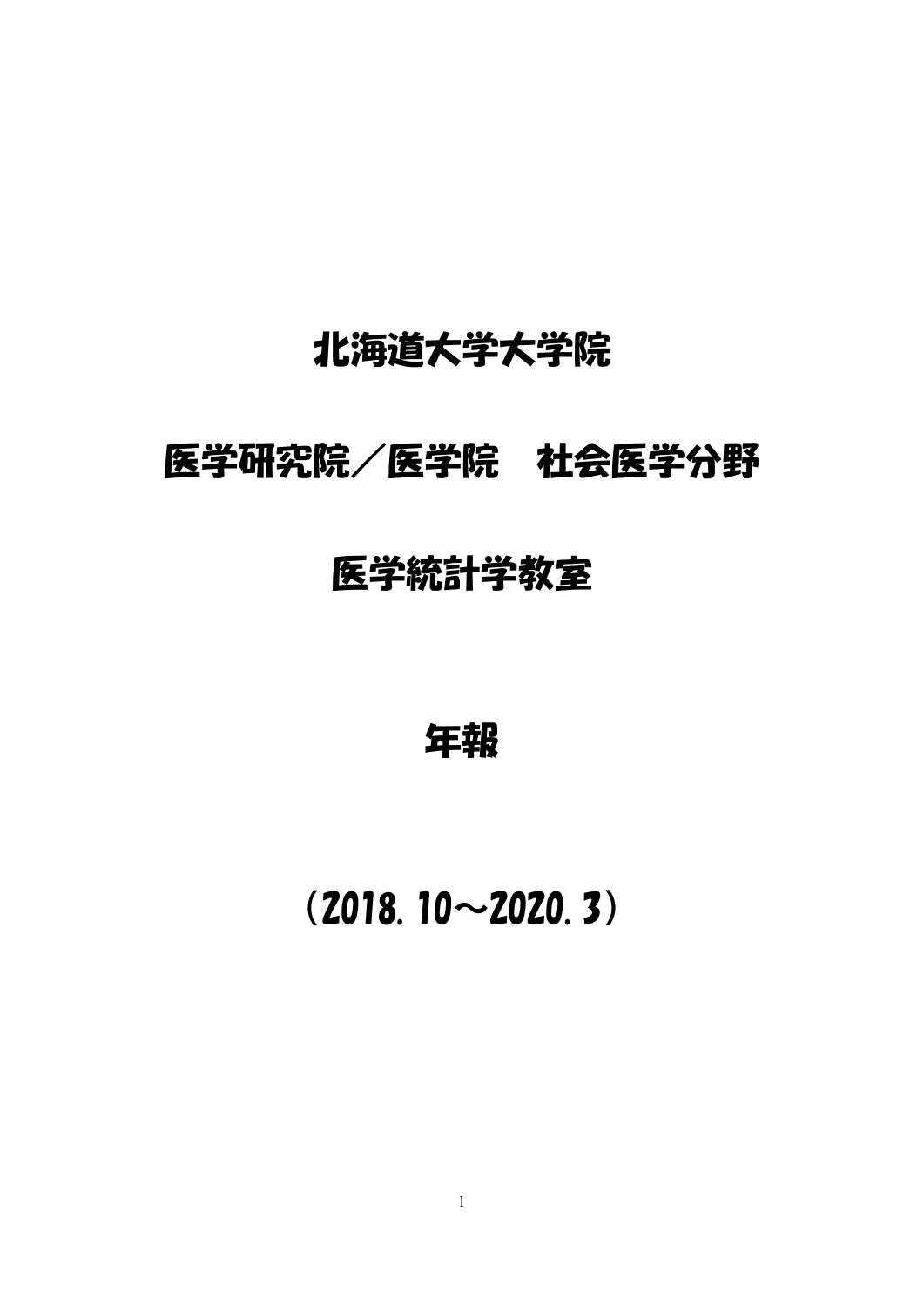# 北海道大学大学院

## 医学研究院/医学院 社会医学分野

## 医学統計学教室

年報

# (2018.10~2020.3)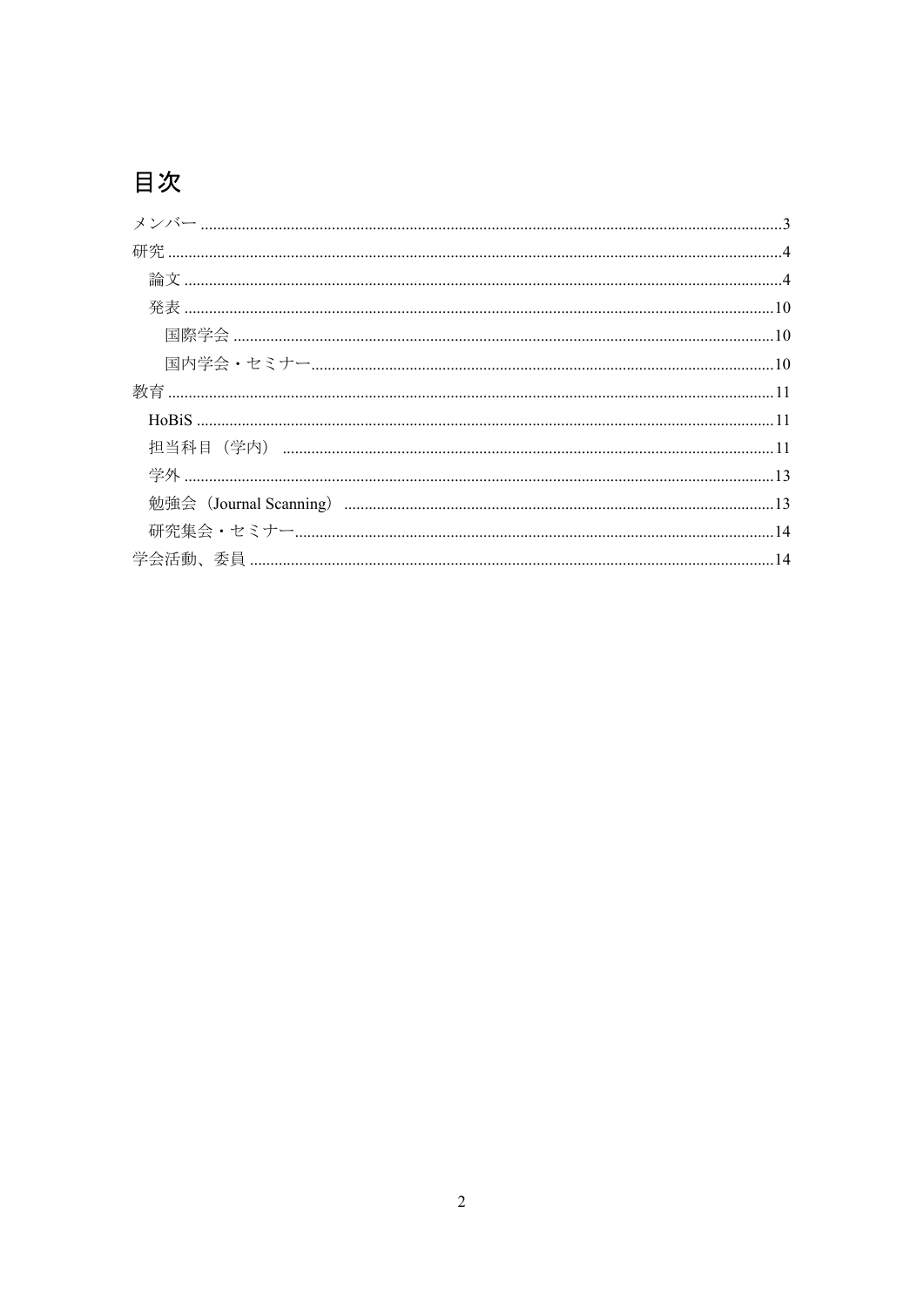## 目次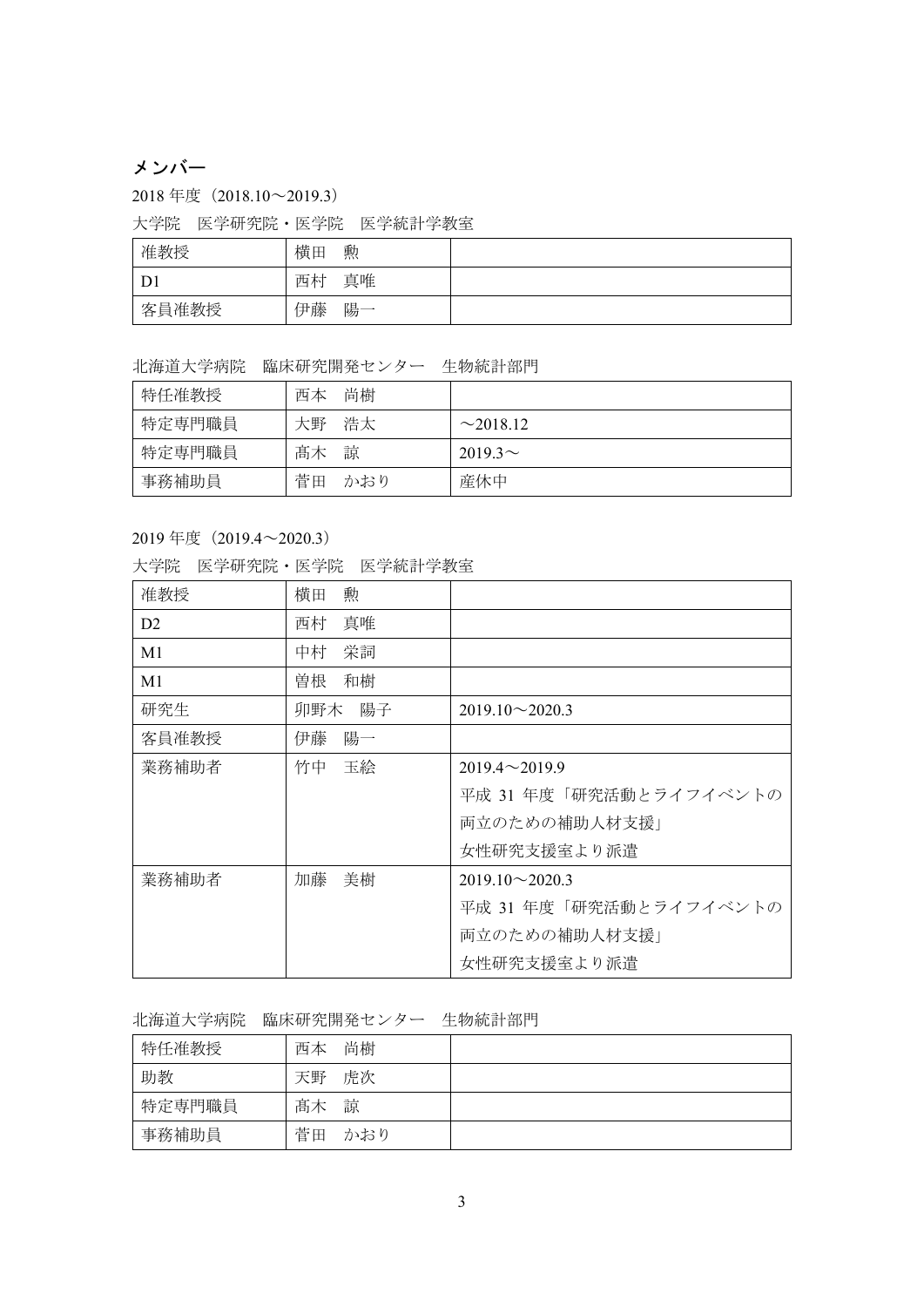## メンバー

2018 年度(2018.10~2019.3)

大学院 医学研究院・医学院 医学統計学教室

| 准教授   | 横田<br>勲  |  |
|-------|----------|--|
| D1    | 真唯<br>西村 |  |
| 客員准教授 | 伊藤<br>陽一 |  |

北海道大学病院 臨床研究開発センター 生物統計部門

| 特任准教授  | 尚樹<br>西本  |                |
|--------|-----------|----------------|
| 特定専門職員 | 浩太<br>大野  | $\sim$ 2018.12 |
| 特定専門職員 | 諒<br>髙木   | $2019.3\sim$   |
| 事務補助員  | 菅田<br>かおり | 産休中            |

#### 2019 年度(2019.4~2020.3)

|  | 大学院 医学研究院・医学院 医学統計学教室 |  |
|--|-----------------------|--|
|  |                       |  |

| 准教授            | 勲<br>横田  |                        |
|----------------|----------|------------------------|
|                |          |                        |
| D <sub>2</sub> | 真唯<br>西村 |                        |
| M1             | 栄詞<br>中村 |                        |
| M1             | 曽根<br>和樹 |                        |
| 研究生            | 卯野木 陽子   | $2019.10 \sim 2020.3$  |
| 客員准教授          | 伊藤<br>陽一 |                        |
| 業務補助者          | 玉絵<br>竹中 | $2019.4 \sim 2019.9$   |
|                |          | 平成 31 年度「研究活動とライフイベントの |
|                |          | 両立のための補助人材支援           |
|                |          | 女性研究支援室より派遣            |
| 業務補助者          | 加藤<br>美樹 | $2019.10 \sim 2020.3$  |
|                |          | 平成 31 年度「研究活動とライフイベントの |
|                |          | 両立のための補助人材支援」          |
|                |          | 女性研究支援室より派遣            |

#### 北海道大学病院 臨床研究開発センター 生物統計部門

| 特任准教授  | 尚樹<br>西本  |  |
|--------|-----------|--|
| 助教     | 虎次<br>天野  |  |
| 特定専門職員 | 髙木<br>諒   |  |
| 事務補助員  | 菅田<br>かおり |  |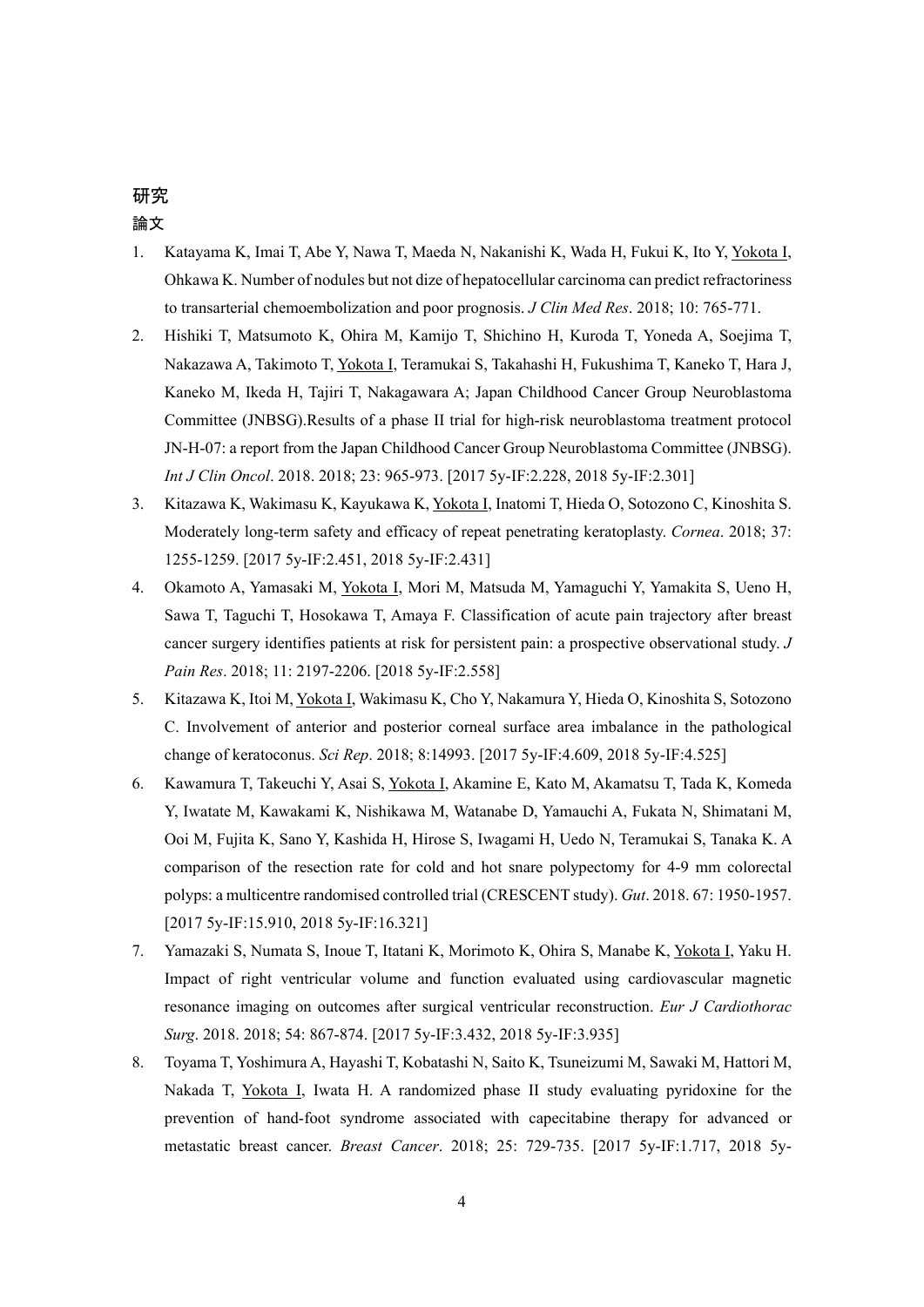## 研究 論文

- 1. Katayama K, Imai T, Abe Y, Nawa T, Maeda N, Nakanishi K, Wada H, Fukui K, Ito Y, Yokota I, Ohkawa K. Number of nodules but not dize of hepatocellular carcinoma can predict refractoriness to transarterial chemoembolization and poor prognosis. *J Clin Med Res*. 2018; 10: 765-771.
- 2. Hishiki T, Matsumoto K, Ohira M, Kamijo T, Shichino H, Kuroda T, Yoneda A, Soejima T, Nakazawa A, Takimoto T, Yokota I, Teramukai S, Takahashi H, Fukushima T, Kaneko T, Hara J, Kaneko M, Ikeda H, Tajiri T, Nakagawara A; Japan Childhood Cancer Group Neuroblastoma Committee (JNBSG).Results of a phase II trial for high-risk neuroblastoma treatment protocol JN-H-07: a report from the Japan Childhood Cancer Group Neuroblastoma Committee (JNBSG). *Int J Clin Oncol*. 2018. 2018; 23: 965-973. [2017 5y-IF:2.228, 2018 5y-IF:2.301]
- 3. Kitazawa K, Wakimasu K, Kayukawa K, Yokota I, Inatomi T, Hieda O, Sotozono C, Kinoshita S. Moderately long-term safety and efficacy of repeat penetrating keratoplasty. *Cornea*. 2018; 37: 1255-1259. [2017 5y-IF:2.451, 2018 5y-IF:2.431]
- 4. Okamoto A, Yamasaki M, Yokota I, Mori M, Matsuda M, Yamaguchi Y, Yamakita S, Ueno H, Sawa T, Taguchi T, Hosokawa T, Amaya F. Classification of acute pain trajectory after breast cancer surgery identifies patients at risk for persistent pain: a prospective observational study. *J Pain Res*. 2018; 11: 2197-2206. [2018 5y-IF:2.558]
- 5. Kitazawa K, Itoi M, Yokota I, Wakimasu K, Cho Y, Nakamura Y, Hieda O, Kinoshita S, Sotozono C. Involvement of anterior and posterior corneal surface area imbalance in the pathological change of keratoconus. *Sci Rep*. 2018; 8:14993. [2017 5y-IF:4.609, 2018 5y-IF:4.525]
- 6. Kawamura T, Takeuchi Y, Asai S, Yokota I, Akamine E, Kato M, Akamatsu T, Tada K, Komeda Y, Iwatate M, Kawakami K, Nishikawa M, Watanabe D, Yamauchi A, Fukata N, Shimatani M, Ooi M, Fujita K, Sano Y, Kashida H, Hirose S, Iwagami H, Uedo N, Teramukai S, Tanaka K. A comparison of the resection rate for cold and hot snare polypectomy for 4-9 mm colorectal polyps: a multicentre randomised controlled trial (CRESCENT study). *Gut*. 2018. 67: 1950-1957. [2017 5y-IF:15.910, 2018 5y-IF:16.321]
- 7. Yamazaki S, Numata S, Inoue T, Itatani K, Morimoto K, Ohira S, Manabe K, Yokota I, Yaku H. Impact of right ventricular volume and function evaluated using cardiovascular magnetic resonance imaging on outcomes after surgical ventricular reconstruction. *Eur J Cardiothorac Surg*. 2018. 2018; 54: 867-874. [2017 5y-IF:3.432, 2018 5y-IF:3.935]
- 8. Toyama T, Yoshimura A, Hayashi T, Kobatashi N, Saito K, Tsuneizumi M, Sawaki M, Hattori M, Nakada T, Yokota I, Iwata H. A randomized phase II study evaluating pyridoxine for the prevention of hand-foot syndrome associated with capecitabine therapy for advanced or metastatic breast cancer. *Breast Cancer*. 2018; 25: 729-735. [2017 5y-IF:1.717, 2018 5y-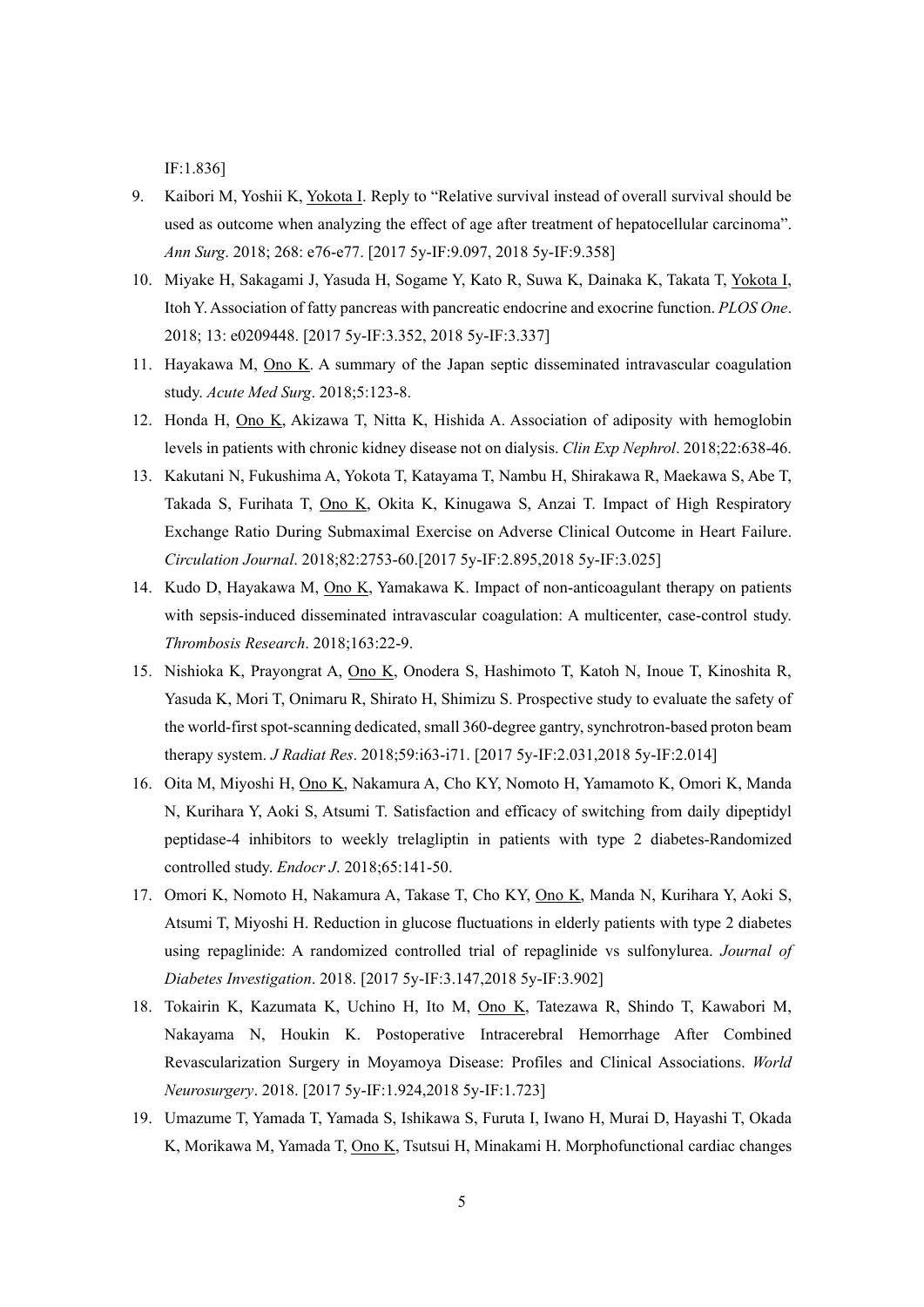IF:1.836]

- 9. Kaibori M, Yoshii K, Yokota I. Reply to "Relative survival instead of overall survival should be used as outcome when analyzing the effect of age after treatment of hepatocellular carcinoma". *Ann Surg*. 2018; 268: e76-e77. [2017 5y-IF:9.097, 2018 5y-IF:9.358]
- 10. Miyake H, Sakagami J, Yasuda H, Sogame Y, Kato R, Suwa K, Dainaka K, Takata T, Yokota I, Itoh Y. Association of fatty pancreas with pancreatic endocrine and exocrine function. *PLOS One*. 2018; 13: e0209448. [2017 5y-IF:3.352, 2018 5y-IF:3.337]
- 11. Hayakawa M, Ono K. A summary of the Japan septic disseminated intravascular coagulation study. *Acute Med Surg*. 2018;5:123-8.
- 12. Honda H, Ono K, Akizawa T, Nitta K, Hishida A. Association of adiposity with hemoglobin levels in patients with chronic kidney disease not on dialysis. *Clin Exp Nephrol*. 2018;22:638-46.
- 13. Kakutani N, Fukushima A, Yokota T, Katayama T, Nambu H, Shirakawa R, Maekawa S, Abe T, Takada S, Furihata T, Ono K, Okita K, Kinugawa S, Anzai T. Impact of High Respiratory Exchange Ratio During Submaximal Exercise on Adverse Clinical Outcome in Heart Failure. *Circulation Journal*. 2018;82:2753-60.[2017 5y-IF:2.895,2018 5y-IF:3.025]
- 14. Kudo D, Hayakawa M, Ono K, Yamakawa K. Impact of non-anticoagulant therapy on patients with sepsis-induced disseminated intravascular coagulation: A multicenter, case-control study. *Thrombosis Research*. 2018;163:22-9.
- 15. Nishioka K, Prayongrat A, Ono K, Onodera S, Hashimoto T, Katoh N, Inoue T, Kinoshita R, Yasuda K, Mori T, Onimaru R, Shirato H, Shimizu S. Prospective study to evaluate the safety of the world-first spot-scanning dedicated, small 360-degree gantry, synchrotron-based proton beam therapy system. *J Radiat Res*. 2018;59:i63-i71. [2017 5y-IF:2.031,2018 5y-IF:2.014]
- 16. Oita M, Miyoshi H, Ono K, Nakamura A, Cho KY, Nomoto H, Yamamoto K, Omori K, Manda N, Kurihara Y, Aoki S, Atsumi T. Satisfaction and efficacy of switching from daily dipeptidyl peptidase-4 inhibitors to weekly trelagliptin in patients with type 2 diabetes-Randomized controlled study. *Endocr J*. 2018;65:141-50.
- 17. Omori K, Nomoto H, Nakamura A, Takase T, Cho KY, Ono K, Manda N, Kurihara Y, Aoki S, Atsumi T, Miyoshi H. Reduction in glucose fluctuations in elderly patients with type 2 diabetes using repaglinide: A randomized controlled trial of repaglinide vs sulfonylurea. *Journal of Diabetes Investigation*. 2018. [2017 5y-IF:3.147,2018 5y-IF:3.902]
- 18. Tokairin K, Kazumata K, Uchino H, Ito M, Ono K, Tatezawa R, Shindo T, Kawabori M, Nakayama N, Houkin K. Postoperative Intracerebral Hemorrhage After Combined Revascularization Surgery in Moyamoya Disease: Profiles and Clinical Associations. *World Neurosurgery*. 2018. [2017 5y-IF:1.924,2018 5y-IF:1.723]
- 19. Umazume T, Yamada T, Yamada S, Ishikawa S, Furuta I, Iwano H, Murai D, Hayashi T, Okada K, Morikawa M, Yamada T, Ono K, Tsutsui H, Minakami H. Morphofunctional cardiac changes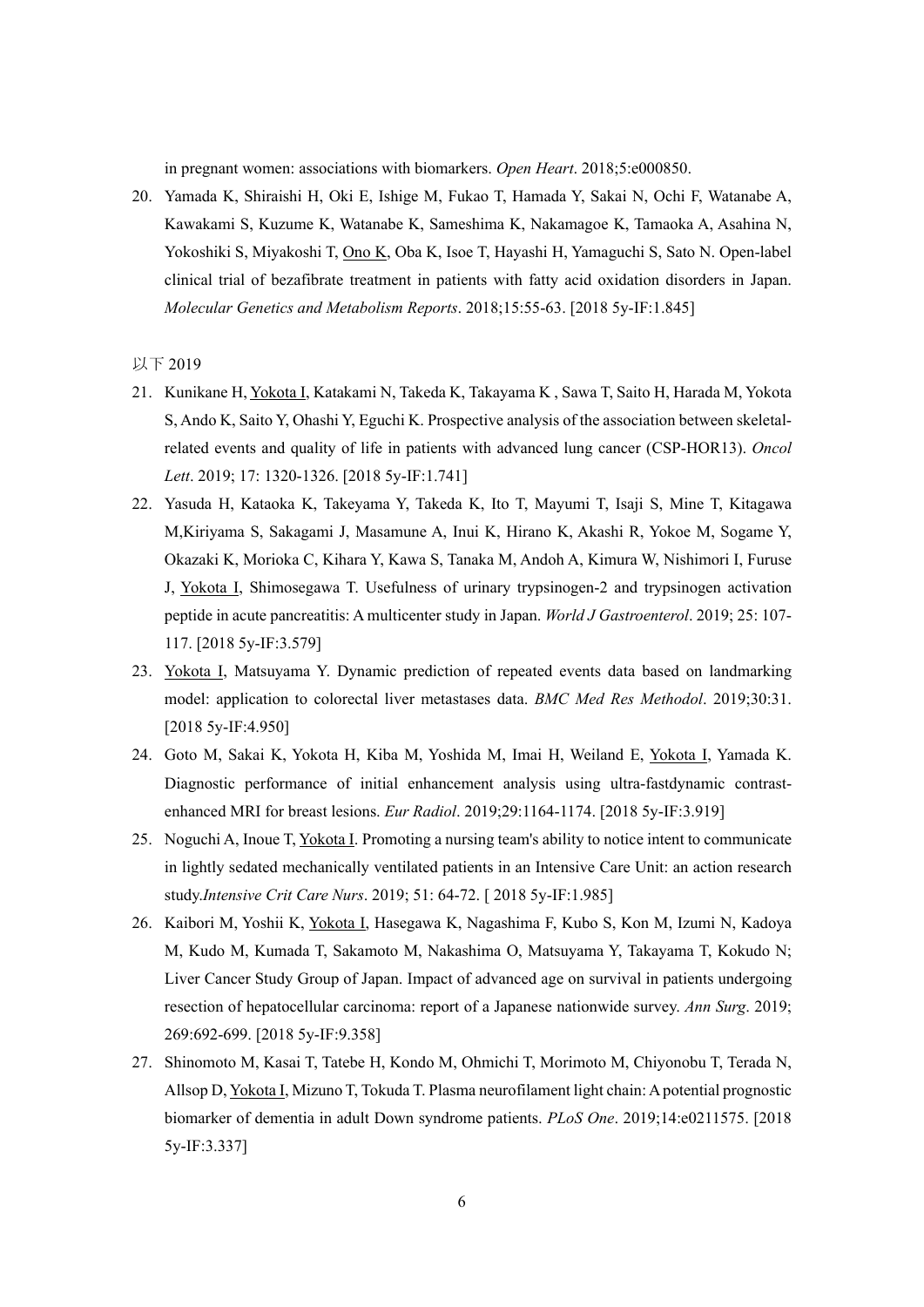in pregnant women: associations with biomarkers. *Open Heart*. 2018;5:e000850.

20. Yamada K, Shiraishi H, Oki E, Ishige M, Fukao T, Hamada Y, Sakai N, Ochi F, Watanabe A, Kawakami S, Kuzume K, Watanabe K, Sameshima K, Nakamagoe K, Tamaoka A, Asahina N, Yokoshiki S, Miyakoshi T, Ono K, Oba K, Isoe T, Hayashi H, Yamaguchi S, Sato N. Open-label clinical trial of bezafibrate treatment in patients with fatty acid oxidation disorders in Japan. *Molecular Genetics and Metabolism Reports*. 2018;15:55-63. [2018 5y-IF:1.845]

#### 以下 2019

- 21. Kunikane H, Yokota I, Katakami N, Takeda K, Takayama K , Sawa T, Saito H, Harada M, Yokota S, Ando K, Saito Y, Ohashi Y, Eguchi K. Prospective analysis of the association between skeletalrelated events and quality of life in patients with advanced lung cancer (CSP-HOR13). *Oncol Lett*. 2019; 17: 1320-1326. [2018 5y-IF:1.741]
- 22. Yasuda H, Kataoka K, Takeyama Y, Takeda K, Ito T, Mayumi T, Isaji S, Mine T, Kitagawa M,Kiriyama S, Sakagami J, Masamune A, Inui K, Hirano K, Akashi R, Yokoe M, Sogame Y, Okazaki K, Morioka C, Kihara Y, Kawa S, Tanaka M, Andoh A, Kimura W, Nishimori I, Furuse J, Yokota I, Shimosegawa T. Usefulness of urinary trypsinogen-2 and trypsinogen activation peptide in acute pancreatitis: A multicenter study in Japan. *World J Gastroenterol*. 2019; 25: 107- 117. [2018 5y-IF:3.579]
- 23. Yokota I, Matsuyama Y. Dynamic prediction of repeated events data based on landmarking model: application to colorectal liver metastases data. *BMC Med Res Methodol*. 2019;30:31. [2018 5y-IF:4.950]
- 24. Goto M, Sakai K, Yokota H, Kiba M, Yoshida M, Imai H, Weiland E, Yokota I, Yamada K. Diagnostic performance of initial enhancement analysis using ultra-fastdynamic contrastenhanced MRI for breast lesions. *Eur Radiol*. 2019;29:1164-1174. [2018 5y-IF:3.919]
- 25. Noguchi A, Inoue T, Yokota I. Promoting a nursing team's ability to notice intent to communicate in lightly sedated mechanically ventilated patients in an Intensive Care Unit: an action research study.*Intensive Crit Care Nurs*. 2019; 51: 64-72. [ 2018 5y-IF:1.985]
- 26. Kaibori M, Yoshii K, Yokota I, Hasegawa K, Nagashima F, Kubo S, Kon M, Izumi N, Kadoya M, Kudo M, Kumada T, Sakamoto M, Nakashima O, Matsuyama Y, Takayama T, Kokudo N; Liver Cancer Study Group of Japan. Impact of advanced age on survival in patients undergoing resection of hepatocellular carcinoma: report of a Japanese nationwide survey. *Ann Surg*. 2019; 269:692-699. [2018 5y-IF:9.358]
- 27. Shinomoto M, Kasai T, Tatebe H, Kondo M, Ohmichi T, Morimoto M, Chiyonobu T, Terada N, Allsop D, Yokota I, Mizuno T, Tokuda T. Plasma neurofilament light chain: A potential prognostic biomarker of dementia in adult Down syndrome patients. *PLoS One*. 2019;14:e0211575. [2018 5y-IF:3.337]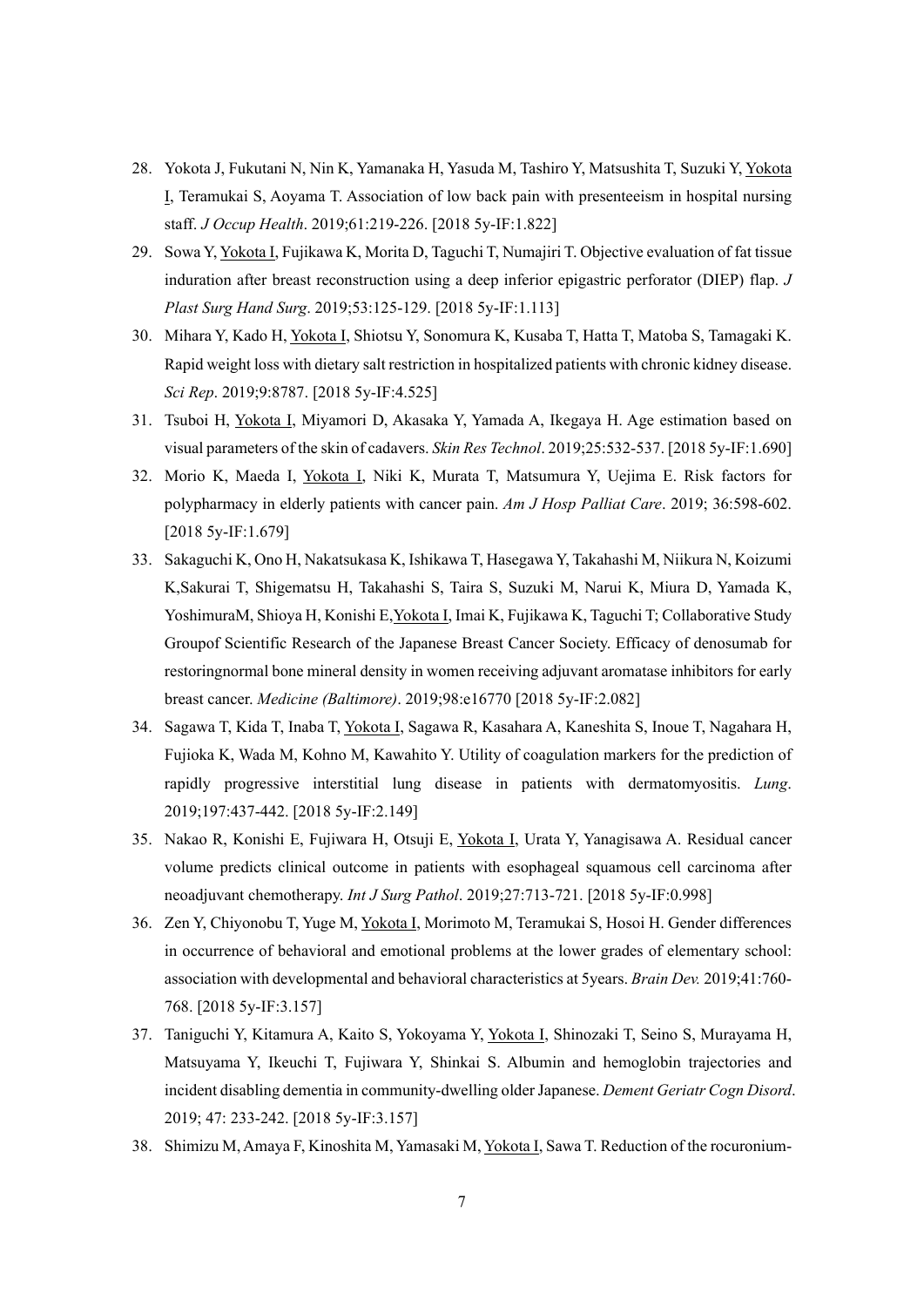- 28. Yokota J, Fukutani N, Nin K, Yamanaka H, Yasuda M, Tashiro Y, Matsushita T, Suzuki Y, Yokota I, Teramukai S, Aoyama T. Association of low back pain with presenteeism in hospital nursing staff. *J Occup Health*. 2019;61:219-226. [2018 5y-IF:1.822]
- 29. Sowa Y, Yokota I, Fujikawa K, Morita D, Taguchi T, Numajiri T. Objective evaluation of fat tissue induration after breast reconstruction using a deep inferior epigastric perforator (DIEP) flap. *J Plast Surg Hand Surg*. 2019;53:125-129. [2018 5y-IF:1.113]
- 30. Mihara Y, Kado H, Yokota I, Shiotsu Y, Sonomura K, Kusaba T, Hatta T, Matoba S, Tamagaki K. Rapid weight loss with dietary salt restriction in hospitalized patients with chronic kidney disease. *Sci Rep*. 2019;9:8787. [2018 5y-IF:4.525]
- 31. Tsuboi H, Yokota I, Miyamori D, Akasaka Y, Yamada A, Ikegaya H. Age estimation based on visual parameters of the skin of cadavers. *Skin Res Technol*. 2019;25:532-537. [2018 5y-IF:1.690]
- 32. Morio K, Maeda I, Yokota I, Niki K, Murata T, Matsumura Y, Uejima E. Risk factors for polypharmacy in elderly patients with cancer pain. *Am J Hosp Palliat Care*. 2019; 36:598-602. [2018 5y-IF:1.679]
- 33. Sakaguchi K, Ono H, Nakatsukasa K, Ishikawa T, Hasegawa Y, Takahashi M, Niikura N, Koizumi K,Sakurai T, Shigematsu H, Takahashi S, Taira S, Suzuki M, Narui K, Miura D, Yamada K, YoshimuraM, Shioya H, Konishi E,Yokota I, Imai K, Fujikawa K, Taguchi T; Collaborative Study Groupof Scientific Research of the Japanese Breast Cancer Society. Efficacy of denosumab for restoringnormal bone mineral density in women receiving adjuvant aromatase inhibitors for early breast cancer. *Medicine (Baltimore)*. 2019;98:e16770 [2018 5y-IF:2.082]
- 34. Sagawa T, Kida T, Inaba T, Yokota I, Sagawa R, Kasahara A, Kaneshita S, Inoue T, Nagahara H, Fujioka K, Wada M, Kohno M, Kawahito Y. Utility of coagulation markers for the prediction of rapidly progressive interstitial lung disease in patients with dermatomyositis. *Lung*. 2019;197:437-442. [2018 5y-IF:2.149]
- 35. Nakao R, Konishi E, Fujiwara H, Otsuji E, Yokota I, Urata Y, Yanagisawa A. Residual cancer volume predicts clinical outcome in patients with esophageal squamous cell carcinoma after neoadjuvant chemotherapy. *Int J Surg Pathol*. 2019;27:713-721. [2018 5y-IF:0.998]
- 36. Zen Y, Chiyonobu T, Yuge M, Yokota I, Morimoto M, Teramukai S, Hosoi H. Gender differences in occurrence of behavioral and emotional problems at the lower grades of elementary school: association with developmental and behavioral characteristics at 5years. *Brain Dev.* 2019;41:760- 768. [2018 5y-IF:3.157]
- 37. Taniguchi Y, Kitamura A, Kaito S, Yokoyama Y, Yokota I, Shinozaki T, Seino S, Murayama H, Matsuyama Y, Ikeuchi T, Fujiwara Y, Shinkai S. Albumin and hemoglobin trajectories and incident disabling dementia in community-dwelling older Japanese. *Dement Geriatr Cogn Disord*. 2019; 47: 233-242. [2018 5y-IF:3.157]
- 38. Shimizu M, Amaya F, Kinoshita M, Yamasaki M, Yokota I, Sawa T. Reduction of the rocuronium-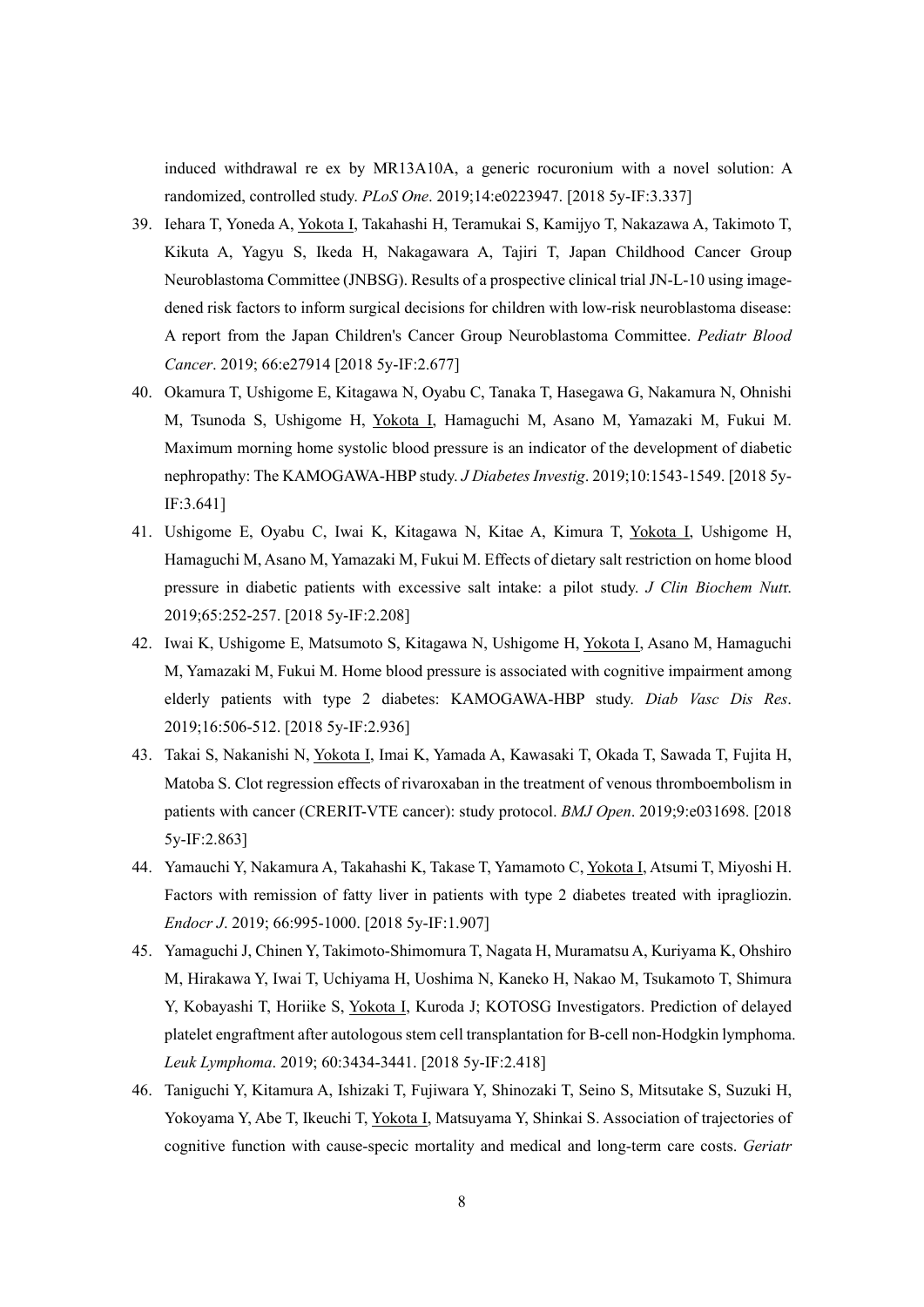induced withdrawal re ex by MR13A10A, a generic rocuronium with a novel solution: A randomized, controlled study. *PLoS One*. 2019;14:e0223947. [2018 5y-IF:3.337]

- 39. Iehara T, Yoneda A, Yokota I, Takahashi H, Teramukai S, Kamijyo T, Nakazawa A, Takimoto T, Kikuta A, Yagyu S, Ikeda H, Nakagawara A, Tajiri T, Japan Childhood Cancer Group Neuroblastoma Committee (JNBSG). Results of a prospective clinical trial JN-L-10 using imagedened risk factors to inform surgical decisions for children with low-risk neuroblastoma disease: A report from the Japan Children's Cancer Group Neuroblastoma Committee. *Pediatr Blood Cancer*. 2019; 66:e27914 [2018 5y-IF:2.677]
- 40. Okamura T, Ushigome E, Kitagawa N, Oyabu C, Tanaka T, Hasegawa G, Nakamura N, Ohnishi M, Tsunoda S, Ushigome H, Yokota I, Hamaguchi M, Asano M, Yamazaki M, Fukui M. Maximum morning home systolic blood pressure is an indicator of the development of diabetic nephropathy: The KAMOGAWA-HBP study. *J Diabetes Investig*. 2019;10:1543-1549. [2018 5y-IF:3.641]
- 41. Ushigome E, Oyabu C, Iwai K, Kitagawa N, Kitae A, Kimura T, Yokota I, Ushigome H, Hamaguchi M, Asano M, Yamazaki M, Fukui M. Effects of dietary salt restriction on home blood pressure in diabetic patients with excessive salt intake: a pilot study. *J Clin Biochem Nut*r. 2019;65:252-257. [2018 5y-IF:2.208]
- 42. Iwai K, Ushigome E, Matsumoto S, Kitagawa N, Ushigome H, Yokota I, Asano M, Hamaguchi M, Yamazaki M, Fukui M. Home blood pressure is associated with cognitive impairment among elderly patients with type 2 diabetes: KAMOGAWA-HBP study. *Diab Vasc Dis Res*. 2019;16:506-512. [2018 5y-IF:2.936]
- 43. Takai S, Nakanishi N, Yokota I, Imai K, Yamada A, Kawasaki T, Okada T, Sawada T, Fujita H, Matoba S. Clot regression effects of rivaroxaban in the treatment of venous thromboembolism in patients with cancer (CRERIT-VTE cancer): study protocol. *BMJ Open*. 2019;9:e031698. [2018 5y-IF:2.863]
- 44. Yamauchi Y, Nakamura A, Takahashi K, Takase T, Yamamoto C, Yokota I, Atsumi T, Miyoshi H. Factors with remission of fatty liver in patients with type 2 diabetes treated with ipragliozin. *Endocr J*. 2019; 66:995-1000. [2018 5y-IF:1.907]
- 45. Yamaguchi J, Chinen Y, Takimoto-Shimomura T, Nagata H, Muramatsu A, Kuriyama K, Ohshiro M, Hirakawa Y, Iwai T, Uchiyama H, Uoshima N, Kaneko H, Nakao M, Tsukamoto T, Shimura Y, Kobayashi T, Horiike S, Yokota I, Kuroda J; KOTOSG Investigators. Prediction of delayed platelet engraftment after autologous stem cell transplantation for B-cell non-Hodgkin lymphoma. *Leuk Lymphoma*. 2019; 60:3434-3441. [2018 5y-IF:2.418]
- 46. Taniguchi Y, Kitamura A, Ishizaki T, Fujiwara Y, Shinozaki T, Seino S, Mitsutake S, Suzuki H, Yokoyama Y, Abe T, Ikeuchi T, Yokota I, Matsuyama Y, Shinkai S. Association of trajectories of cognitive function with cause-specic mortality and medical and long-term care costs. *Geriatr*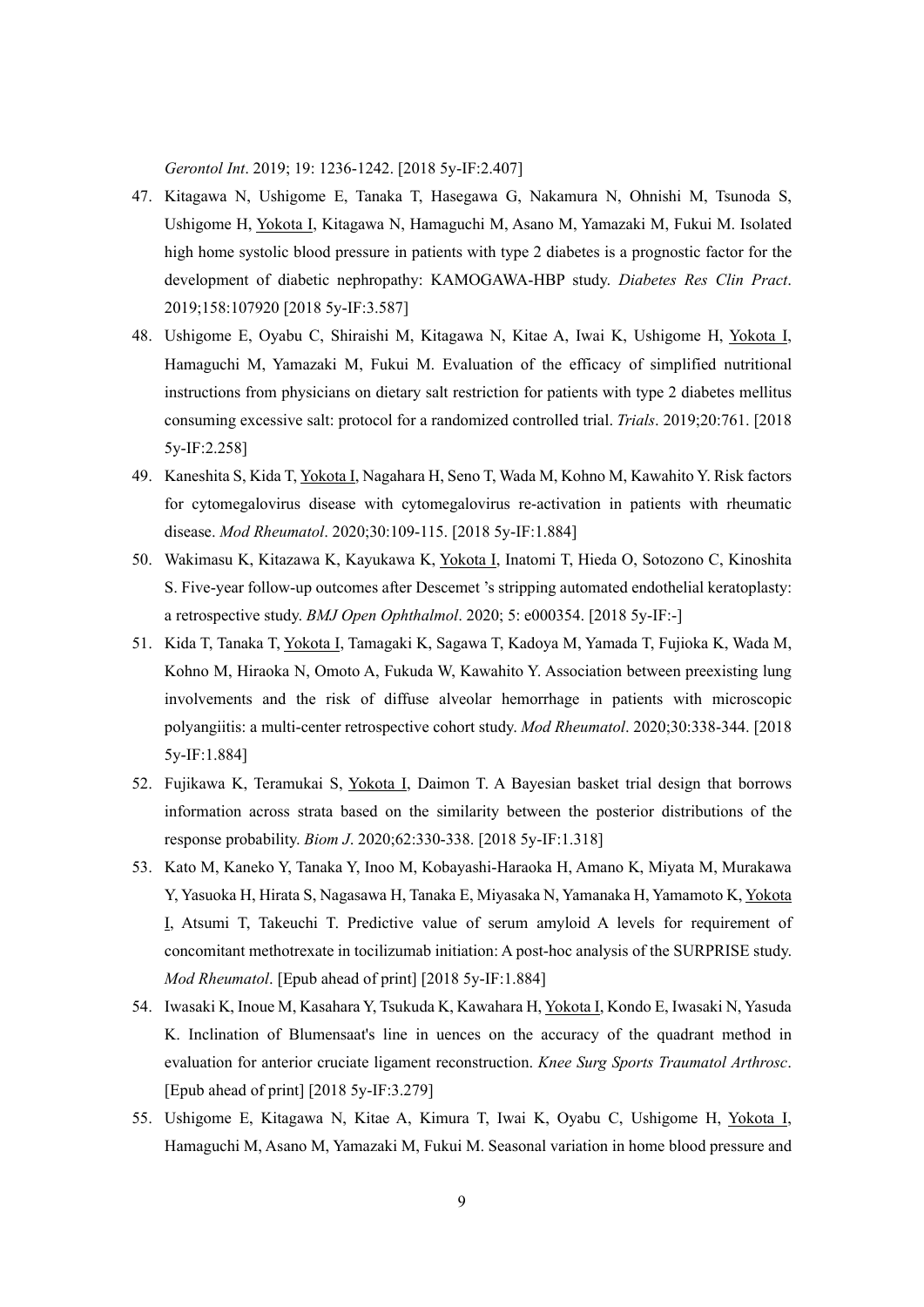*Gerontol Int*. 2019; 19: 1236-1242. [2018 5y-IF:2.407]

- 47. Kitagawa N, Ushigome E, Tanaka T, Hasegawa G, Nakamura N, Ohnishi M, Tsunoda S, Ushigome H, Yokota I, Kitagawa N, Hamaguchi M, Asano M, Yamazaki M, Fukui M. Isolated high home systolic blood pressure in patients with type 2 diabetes is a prognostic factor for the development of diabetic nephropathy: KAMOGAWA-HBP study. *Diabetes Res Clin Pract*. 2019;158:107920 [2018 5y-IF:3.587]
- 48. Ushigome E, Oyabu C, Shiraishi M, Kitagawa N, Kitae A, Iwai K, Ushigome H, Yokota I, Hamaguchi M, Yamazaki M, Fukui M. Evaluation of the efficacy of simplified nutritional instructions from physicians on dietary salt restriction for patients with type 2 diabetes mellitus consuming excessive salt: protocol for a randomized controlled trial. *Trials*. 2019;20:761. [2018 5y-IF:2.258]
- 49. Kaneshita S, Kida T, Yokota I, Nagahara H, Seno T, Wada M, Kohno M, Kawahito Y. Risk factors for cytomegalovirus disease with cytomegalovirus re-activation in patients with rheumatic disease. *Mod Rheumatol*. 2020;30:109-115. [2018 5y-IF:1.884]
- 50. Wakimasu K, Kitazawa K, Kayukawa K, Yokota I, Inatomi T, Hieda O, Sotozono C, Kinoshita S. Five-year follow-up outcomes after Descemet 's stripping automated endothelial keratoplasty: a retrospective study. *BMJ Open Ophthalmol*. 2020; 5: e000354. [2018 5y-IF:-]
- 51. Kida T, Tanaka T, Yokota I, Tamagaki K, Sagawa T, Kadoya M, Yamada T, Fujioka K, Wada M, Kohno M, Hiraoka N, Omoto A, Fukuda W, Kawahito Y. Association between preexisting lung involvements and the risk of diffuse alveolar hemorrhage in patients with microscopic polyangiitis: a multi-center retrospective cohort study. *Mod Rheumatol*. 2020;30:338-344. [2018 5y-IF:1.884]
- 52. Fujikawa K, Teramukai S, Yokota I, Daimon T. A Bayesian basket trial design that borrows information across strata based on the similarity between the posterior distributions of the response probability. *Biom J*. 2020;62:330-338. [2018 5y-IF:1.318]
- 53. Kato M, Kaneko Y, Tanaka Y, Inoo M, Kobayashi-Haraoka H, Amano K, Miyata M, Murakawa Y, Yasuoka H, Hirata S, Nagasawa H, Tanaka E, Miyasaka N, Yamanaka H, Yamamoto K, Yokota I, Atsumi T, Takeuchi T. Predictive value of serum amyloid A levels for requirement of concomitant methotrexate in tocilizumab initiation: A post-hoc analysis of the SURPRISE study. *Mod Rheumatol*. [Epub ahead of print] [2018 5y-IF:1.884]
- 54. Iwasaki K, Inoue M, Kasahara Y, Tsukuda K, Kawahara H, Yokota I, Kondo E, Iwasaki N, Yasuda K. Inclination of Blumensaat's line in uences on the accuracy of the quadrant method in evaluation for anterior cruciate ligament reconstruction. *Knee Surg Sports Traumatol Arthrosc*. [Epub ahead of print] [2018 5y-IF:3.279]
- 55. Ushigome E, Kitagawa N, Kitae A, Kimura T, Iwai K, Oyabu C, Ushigome H, Yokota I, Hamaguchi M, Asano M, Yamazaki M, Fukui M. Seasonal variation in home blood pressure and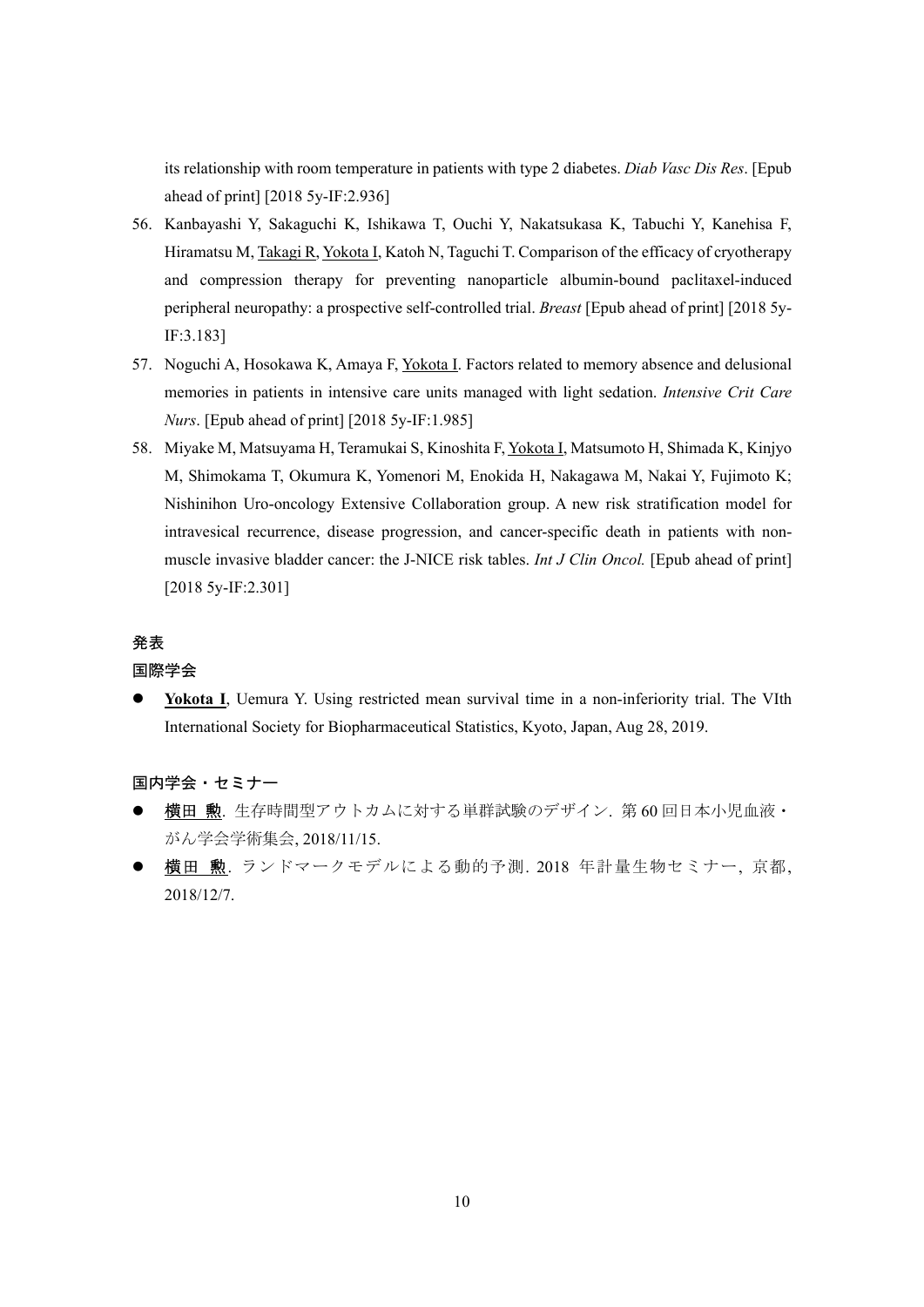its relationship with room temperature in patients with type 2 diabetes. *Diab Vasc Dis Res*. [Epub ahead of print] [2018 5y-IF:2.936]

- 56. Kanbayashi Y, Sakaguchi K, Ishikawa T, Ouchi Y, Nakatsukasa K, Tabuchi Y, Kanehisa F, Hiramatsu M, Takagi R, Yokota I, Katoh N, Taguchi T. Comparison of the efficacy of cryotherapy and compression therapy for preventing nanoparticle albumin-bound paclitaxel-induced peripheral neuropathy: a prospective self-controlled trial. *Breast* [Epub ahead of print] [2018 5y-IF:3.183]
- 57. Noguchi A, Hosokawa K, Amaya F, Yokota I. Factors related to memory absence and delusional memories in patients in intensive care units managed with light sedation. *Intensive Crit Care Nurs*. [Epub ahead of print] [2018 5y-IF:1.985]
- 58. Miyake M, Matsuyama H, Teramukai S, Kinoshita F, Yokota I, Matsumoto H, Shimada K, Kinjyo M, Shimokama T, Okumura K, Yomenori M, Enokida H, Nakagawa M, Nakai Y, Fujimoto K; Nishinihon Uro-oncology Extensive Collaboration group. A new risk stratification model for intravesical recurrence, disease progression, and cancer-specific death in patients with nonmuscle invasive bladder cancer: the J-NICE risk tables. *Int J Clin Oncol.* [Epub ahead of print] [2018 5y-IF:2.301]

#### 発表

#### 国際学会

 **Yokota I**, Uemura Y. Using restricted mean survival time in a non-inferiority trial. The VIth International Society for Biopharmaceutical Statistics, Kyoto, Japan, Aug 28, 2019.

国内学会・セミナー

- 横田 勲. 生存時間型アウトカムに対する単群試験のデザイン. 第 60 回日本小児血液・ がん学会学術集会, 2018/11/15.
- 横田 勲. ランドマークモデルによる動的予測. 2018 年計量生物セミナー, 京都, 2018/12/7.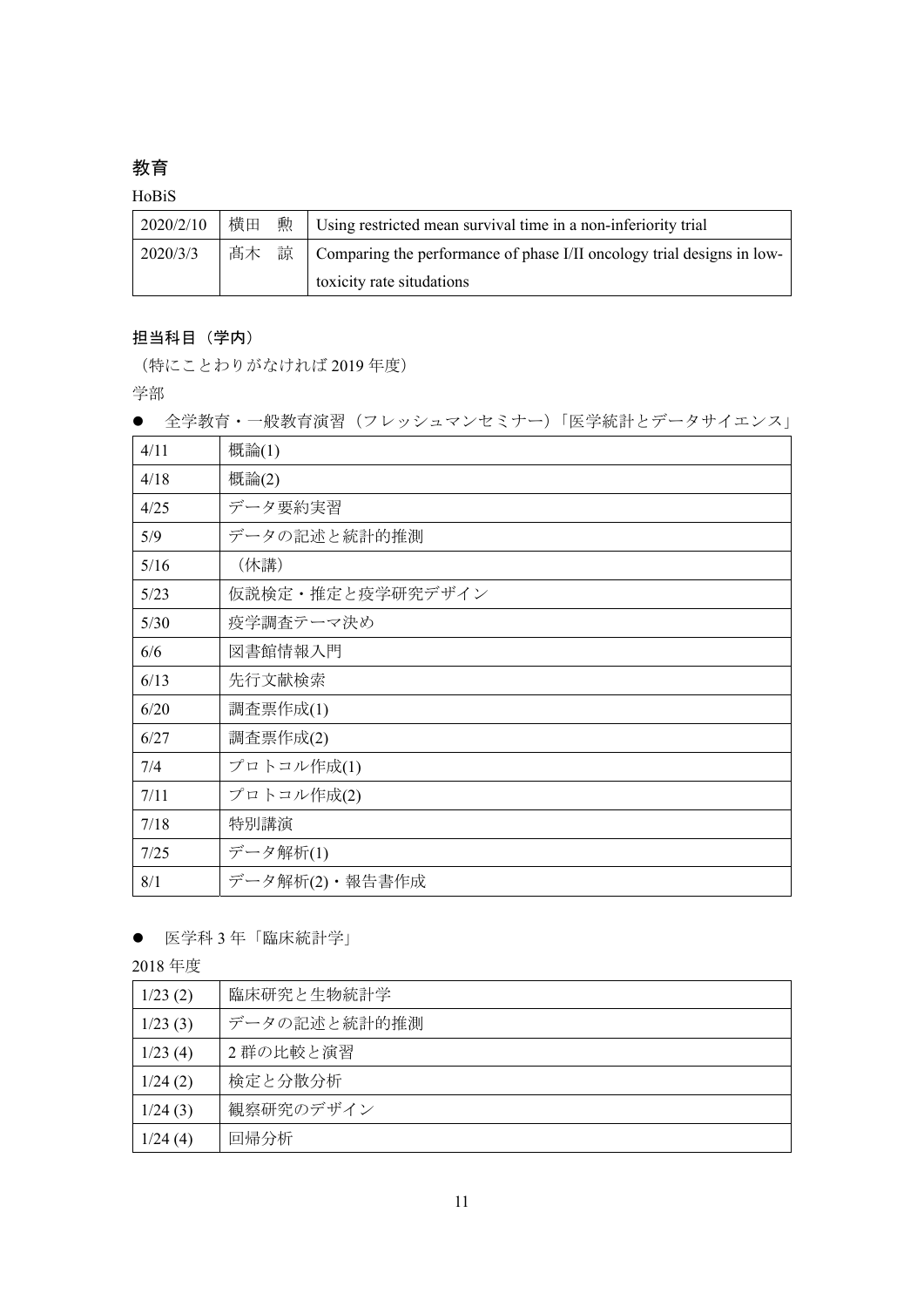## 教育

#### HoBiS

| 2020/2/10 | 横田 | $\hat{\mathbb{R}}$ Using restricted mean survival time in a non-inferiority trial              |
|-----------|----|------------------------------------------------------------------------------------------------|
| 2020/3/3  | 髙木 | $\overline{\text{m}}$   Comparing the performance of phase I/II oncology trial designs in low- |
|           |    | toxicity rate situdations                                                                      |

### 担当科目(学内)

(特にことわりがなければ 2019 年度)

学部

● 全学教育・一般教育演習 (フレッシュマンセミナー)「医学統計とデータサイエンス」

| 4/11 | 概論(1)            |
|------|------------------|
| 4/18 | 概論(2)            |
| 4/25 | データ要約実習          |
| 5/9  | データの記述と統計的推測     |
| 5/16 | (休講)             |
| 5/23 | 仮説検定・推定と疫学研究デザイン |
| 5/30 | 疫学調査テーマ決め        |
| 6/6  | 図書館情報入門          |
| 6/13 | 先行文献検索           |
| 6/20 | 調査票作成(1)         |
| 6/27 | 調査票作成(2)         |
| 7/4  | プロトコル作成(1)       |
| 7/11 | プロトコル作成(2)       |
| 7/18 | 特別講演             |
| 7/25 | データ解析(1)         |
| 8/1  | データ解析(2)・報告書作成   |

#### 医学科 3 年「臨床統計学」

2018 年度

| 1/23(2) | 臨床研究と生物統計学   |
|---------|--------------|
| 1/23(3) | データの記述と統計的推測 |
| 1/23(4) | 2群の比較と演習     |
| 1/24(2) | 検定と分散分析      |
| 1/24(3) | 観察研究のデザイン    |
| 1/24(4) | 回帰分析         |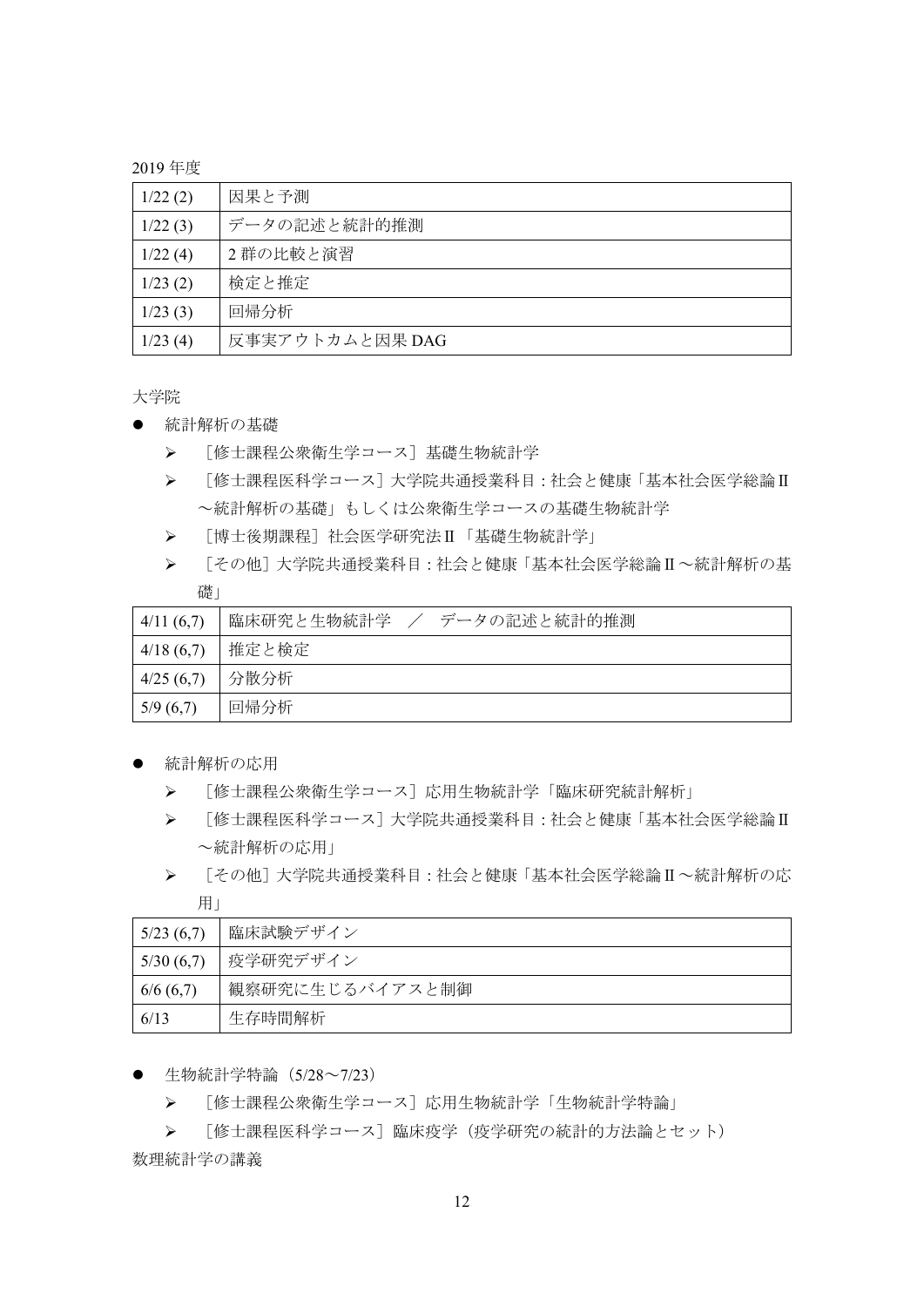2019 年度

| 1/22(2) | 因果と予測           |
|---------|-----------------|
| 1/22(3) | データの記述と統計的推測    |
| 1/22(4) | 2群の比較と演習        |
| 1/23(2) | 検定と推定           |
| 1/23(3) | 回帰分析            |
| 1/23(4) | 反事実アウトカムと因果 DAG |

大学院

- 統計解析の基礎
	- ▶ 「修士課程公衆衛生学コース]基礎生物統計学
	- > [修士課程医科学コース]大学院共通授業科目:社会と健康「基本社会医学総論Ⅱ ~統計解析の基礎」もしくは公衆衛生学コースの基礎生物統計学
	- [博士後期課程]社会医学研究法Ⅱ「基礎生物統計学」
	- > [その他]大学院共通授業科目:社会と健康「基本社会医学総論Ⅱ~統計解析の基 礎」

| 4/11(6,7) | 臨床研究と生物統計学<br>/ データの記述と統計的推測 |
|-----------|------------------------------|
| 4/18(6,7) | 推定と検定                        |
| 4/25(6,7) | 分散分析                         |
| 5/9(6,7)  | 回帰分析                         |

- 統計解析の応用
	- > 「修士課程公衆衛生学コース]応用生物統計学「臨床研究統計解析」
	- [修士課程医科学コース]大学院共通授業科目:社会と健康「基本社会医学総論Ⅱ ~統計解析の応用」
	- [その他]大学院共通授業科目:社会と健康「基本社会医学総論Ⅱ~統計解析の応 用」

| 5/23(6,7) | 臨床試験デザイン        |
|-----------|-----------------|
| 5/30(6,7) | 疫学研究デザイン        |
| 6/6(6,7)  | 観察研究に生じるバイアスと制御 |
| 6/13      | 生存時間解析          |

- 生物統計学特論 (5/28~7/23)
	- ▶ [修士課程公衆衛生学コース]応用生物統計学「生物統計学特論」
	- ▶ 「修士課程医科学コース]臨床疫学(疫学研究の統計的方法論とセット)

数理統計学の講義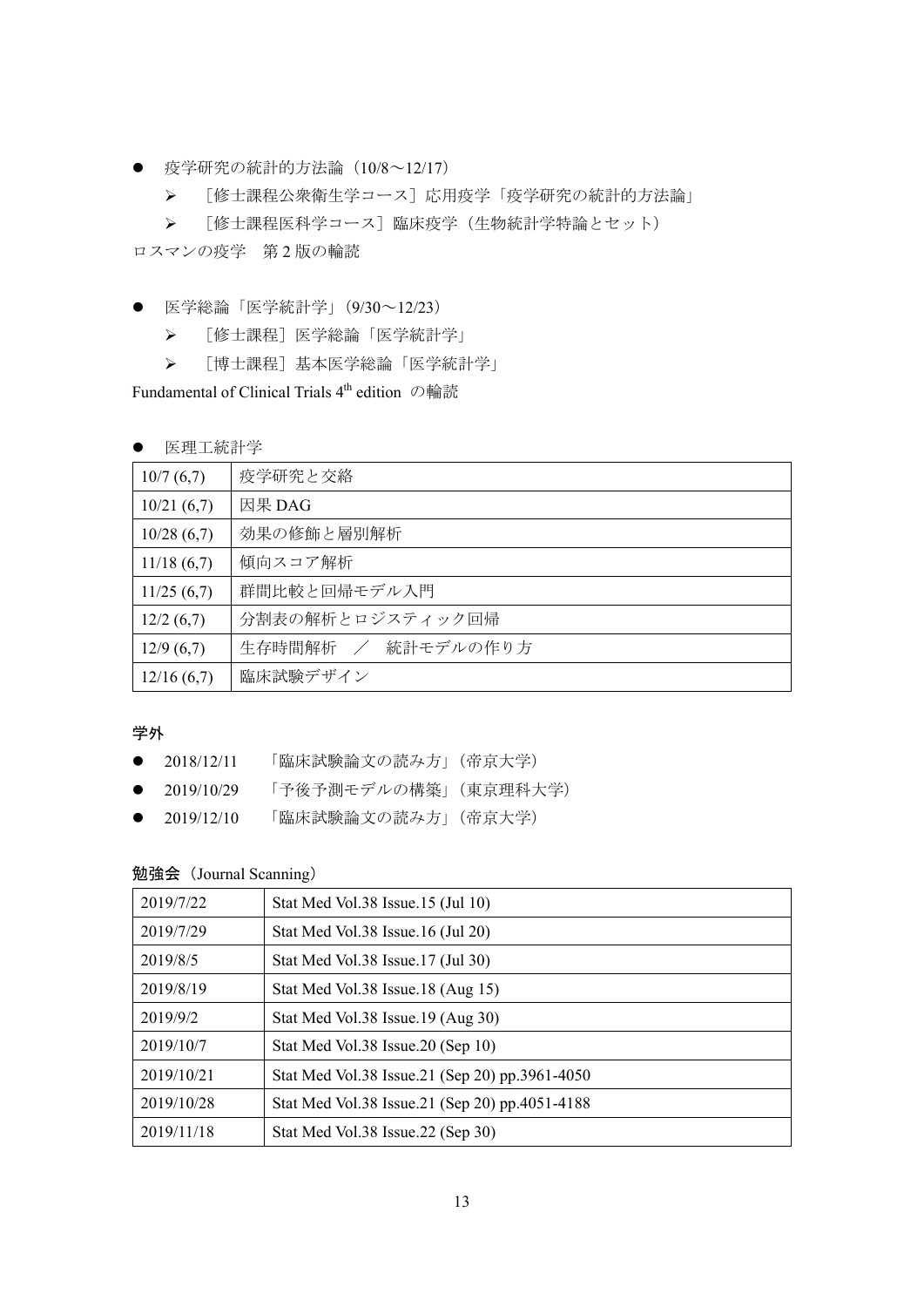- 疫学研究の統計的方法論 (10/8~12/17)
	- ▶ [修士課程公衆衛生学コース]応用疫学「疫学研究の統計的方法論」

▶ [修士課程医科学コース]臨床疫学(生物統計学特論とセット) ロスマンの疫学 第2版の輪読

- 医学総論「医学統計学」(9/30~12/23)
	- [修士課程]医学総論「医学統計学」
	- [博士課程]基本医学総論「医学統計学」

Fundamental of Clinical Trials 4th edition の輪読

#### 医理工統計学

| 10/7(6,7)  | 疫学研究と交絡            |
|------------|--------------------|
| 10/21(6,7) | 因果 DAG             |
| 10/28(6,7) | 効果の修飾と層別解析         |
| 11/18(6,7) | 傾向スコア解析            |
| 11/25(6,7) | 群間比較と回帰モデル入門       |
| 12/2(6,7)  | 分割表の解析とロジスティック回帰   |
| 12/9(6,7)  | 生存時間解析 / 統計モデルの作り方 |
| 12/16(6,7) | 臨床試験デザイン           |

学外

- 2018/12/11 「臨床試験論文の読み方」(帝京大学)
- 2019/10/29 「予後予測モデルの構築」(東京理科大学)
- 2019/12/10 「臨床試験論文の読み方」(帝京大学)

### 勉強会(Journal Scanning)

| 2019/7/22  | Stat Med Vol.38 Issue.15 (Jul 10)              |
|------------|------------------------------------------------|
| 2019/7/29  | Stat Med Vol.38 Issue.16 (Jul 20)              |
| 2019/8/5   | Stat Med Vol.38 Issue.17 (Jul 30)              |
| 2019/8/19  | Stat Med Vol.38 Issue.18 (Aug 15)              |
| 2019/9/2   | Stat Med Vol.38 Issue.19 (Aug 30)              |
| 2019/10/7  | Stat Med Vol.38 Issue.20 (Sep 10)              |
| 2019/10/21 | Stat Med Vol.38 Issue.21 (Sep 20) pp.3961-4050 |
| 2019/10/28 | Stat Med Vol.38 Issue.21 (Sep 20) pp.4051-4188 |
| 2019/11/18 | Stat Med Vol.38 Issue.22 (Sep 30)              |